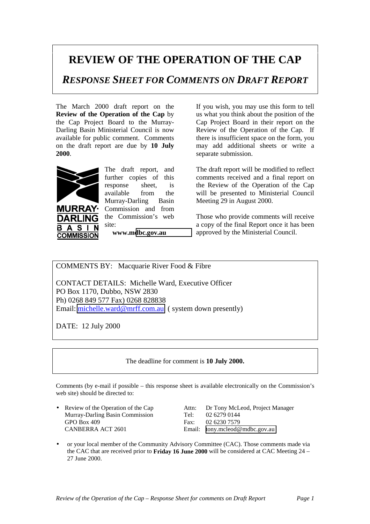## **REVIEW OF THE OPERATION OF THE CAP**

*RESPONSE SHEET FOR COMMENTS ON DRAFT REPORT*

The March 2000 draft report on the **Review of the Operation of the Cap** by the Cap Project Board to the Murray-Darling Basin Ministerial Council is now available for public comment. Comments on the draft report are due by **10 July 2000**.



 $\mathbf{A}$ **S** 

B.

**URRAY· DARLING** 

**COMMISSION** 

The draft report, and further copies of this response sheet, is available from the Murray-Darling Basin Commission and from the Commission's web site:

**www.m[dbc.gov.au](http://www.mdbc.gov.au/)**

If you wish, you may use this form to tell us what you think about the position of the Cap Project Board in their report on the Review of the Operation of the Cap. If there is insufficient space on the form, you may add additional sheets or write a separate submission.

The draft report will be modified to reflect comments received and a final report on the Review of the Operation of the Cap will be presented to Ministerial Council Meeting 29 in August 2000.

Those who provide comments will receive a copy of the final Report once it has been approved by the Ministerial Council.

COMMENTS BY: Macquarie River Food & Fibre

CONTACT DETAILS: Michelle Ward, Executive Officer PO Box 1170, Dubbo, NSW 2830 Ph) 0268 849 577 Fax) 0268 828838 Email: [michelle.ward@mrff.com.au](mailto:michelle.ward@mrff.com.au) ( system down presently)

DATE: 12 July 2000

The deadline for comment is **10 July 2000.**

Comments (by e-mail if possible – this response sheet is available electronically on the Commission's web site) should be directed to:

Murray-Darling Basin Commission Tel: 02 6279 0144 GPO Box 409 Fax: 02 6230 7579 CANBERRA ACT 2601 Email: [tony.mcleod@mdbc.gov.au](mailto:tony.mcleod@mdbc.gov.au)

• Review of the Operation of the Cap Attn: Dr Tony McLeod, Project Manager

• or your local member of the Community Advisory Committee (CAC). Those comments made via the CAC that are received prior to **Friday 16 June 2000** will be considered at CAC Meeting 24 – 27 June 2000.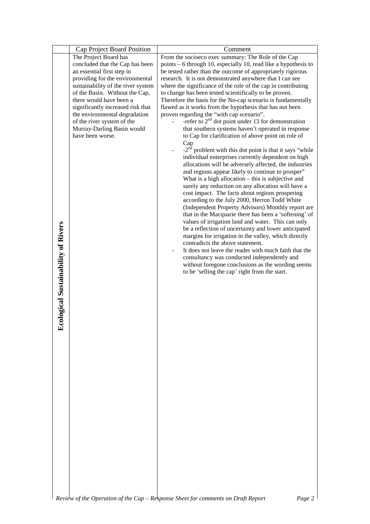|                                    | Cap Project Board Position                                         | Comment                                                                                                     |
|------------------------------------|--------------------------------------------------------------------|-------------------------------------------------------------------------------------------------------------|
|                                    | The Project Board has                                              | From the socioeco exec summary: The Role of the Cap                                                         |
|                                    | concluded that the Cap has been                                    | points $-6$ through 10, especially 10, read like a hypothesis to                                            |
|                                    | an essential first step in                                         | be tested rather than the outcome of appropriately rigorous                                                 |
|                                    | providing for the environmental                                    | research. It is not demonstrated anywhere that I can see                                                    |
|                                    | sustainability of the river system                                 | where the significance of the role of the cap in contributing                                               |
|                                    | of the Basin. Without the Cap,                                     | to change has been tested scientifically to be proven.                                                      |
|                                    | there would have been a                                            | Therefore the basis for the No-cap scenario is fundamentally                                                |
|                                    | significantly increased risk that<br>the environmental degradation | flawed as it works from the hypothesis that has not been<br>proven regarding the "with cap scenario".       |
|                                    | of the river system of the                                         | -refer to $2nd$ dot point under 13 for demonstration                                                        |
|                                    | Murray-Darling Basin would                                         | that southern systems haven't operated in response                                                          |
|                                    | have been worse.                                                   | to Cap for clarification of above point on role of                                                          |
|                                    |                                                                    | Cap                                                                                                         |
|                                    |                                                                    | $-2nd$ problem with this dot point is that it says "while                                                   |
|                                    |                                                                    | individual enterprises currently dependent on high                                                          |
|                                    |                                                                    | allocations will be adversely affected, the industries                                                      |
|                                    |                                                                    | and regions appear likely to continue to prosper"                                                           |
|                                    |                                                                    | What is a high allocation - this is subjective and                                                          |
|                                    |                                                                    | surely any reduction on any allocation will have a                                                          |
|                                    |                                                                    | cost impact. The facts about regions prospering                                                             |
|                                    |                                                                    | according to the July 2000, Herron Todd White                                                               |
|                                    |                                                                    | (Independent Property Advisors) Monthly report are                                                          |
|                                    |                                                                    | that in the Macquarie there has been a 'softening' of<br>values of irrigation land and water. This can only |
|                                    |                                                                    | be a reflection of uncertainty and lower anticipated                                                        |
|                                    |                                                                    | margins for irrigation in the valley, which directly                                                        |
|                                    |                                                                    | contradicts the above statement.                                                                            |
|                                    |                                                                    | It does not leave the reader with much faith that the                                                       |
|                                    |                                                                    | consultancy was conducted independently and                                                                 |
|                                    |                                                                    | without foregone conclusions as the wording seems                                                           |
|                                    |                                                                    | to be 'selling the cap' right from the start.                                                               |
| cological Sustainability of Rivers |                                                                    |                                                                                                             |
|                                    |                                                                    |                                                                                                             |
|                                    |                                                                    |                                                                                                             |
|                                    |                                                                    |                                                                                                             |
|                                    |                                                                    |                                                                                                             |
|                                    |                                                                    |                                                                                                             |
| 单                                  |                                                                    |                                                                                                             |
|                                    |                                                                    |                                                                                                             |
|                                    |                                                                    |                                                                                                             |
|                                    |                                                                    |                                                                                                             |
|                                    |                                                                    |                                                                                                             |
|                                    |                                                                    |                                                                                                             |
|                                    |                                                                    |                                                                                                             |
|                                    |                                                                    |                                                                                                             |
|                                    |                                                                    |                                                                                                             |
|                                    |                                                                    |                                                                                                             |
|                                    |                                                                    |                                                                                                             |
|                                    |                                                                    |                                                                                                             |
|                                    |                                                                    |                                                                                                             |
|                                    |                                                                    |                                                                                                             |
|                                    |                                                                    |                                                                                                             |
|                                    |                                                                    |                                                                                                             |
|                                    |                                                                    |                                                                                                             |
|                                    |                                                                    |                                                                                                             |
|                                    |                                                                    |                                                                                                             |
|                                    |                                                                    |                                                                                                             |
|                                    |                                                                    |                                                                                                             |
|                                    |                                                                    |                                                                                                             |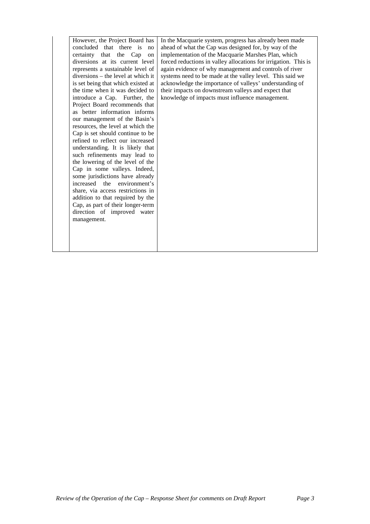However, the Project Board has concluded that there is no certainty that the Cap on diversions at its current level represents a sustainable level of diversions – the level at which it is set being that which existed at the time when it was decided to introduce a Cap. Further, the Project Board recommends that as better information informs our management of the Basin's resources, the level at which the Cap is set should continue to be refined to reflect our increased understanding. It is likely that such refinements may lead to the lowering of the level of the Cap in some valleys. Indeed, some jurisdictions have already increased the environment's share, via access restrictions in addition to that required by the Cap, as part of their longer-term direction of improved water management.

In the Macquarie system, progress has already been made ahead of what the Cap was designed for, by way of the implementation of the Macquarie Marshes Plan, which forced reductions in valley allocations for irrigation. This is again evidence of why management and controls of river systems need to be made at the valley level. This said we acknowledge the importance of valleys' understanding of their impacts on downstream valleys and expect that knowledge of impacts must influence management.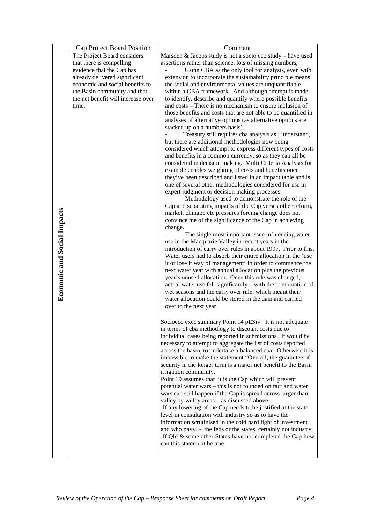|                                    | Cap Project Board Position                                         | Comment                                                                                                                     |
|------------------------------------|--------------------------------------------------------------------|-----------------------------------------------------------------------------------------------------------------------------|
|                                    | The Project Board considers                                        | Marsden & Jacobs study is not a socio eco study - have used                                                                 |
|                                    | that there is compelling                                           | assertions rather than science, lots of missing numbers,                                                                    |
|                                    | evidence that the Cap has                                          | Using CBA as the only tool for analysis, even with                                                                          |
|                                    | already delivered significant                                      | extension to incorporate the sustainability principle means                                                                 |
|                                    | economic and social benefits to                                    | the social and environmental values are unquantifiable                                                                      |
|                                    | the Basin community and that<br>the net benefit will increase over | within a CBA framework. And although attempt is made                                                                        |
|                                    | time.                                                              | to identify, describe and quantify where possible benefits<br>and costs – There is no mechanism to ensure inclusion of      |
|                                    |                                                                    | those benefits and costs that are not able to be quantified in                                                              |
|                                    |                                                                    | analyses of alternative options (as alternative options are                                                                 |
|                                    |                                                                    | stacked up on a numbers basis).                                                                                             |
|                                    |                                                                    | Treasury still requires cba analysis as I understand,                                                                       |
|                                    |                                                                    | but there are additional methodologies now being                                                                            |
|                                    |                                                                    | considered which attempt to express different types of costs                                                                |
|                                    |                                                                    | and benefits in a common currency, so as they can all be                                                                    |
|                                    |                                                                    | considered in decision making. Multi Criteria Analysis for                                                                  |
|                                    |                                                                    | example enables weighting of costs and benefits once                                                                        |
|                                    |                                                                    | they've been described and listed in an impact table and is                                                                 |
|                                    |                                                                    | one of several other methodologies considered for use in                                                                    |
|                                    |                                                                    | expert judgment or decision making processes<br>-Methodology used to demonstrate the role of the                            |
|                                    |                                                                    | Cap and separating impacts of the Cap verses other reform,                                                                  |
|                                    |                                                                    | market, climatic etc pressures forcing change does not                                                                      |
|                                    |                                                                    | convince me of the significance of the Cap in achieving                                                                     |
|                                    |                                                                    | change.                                                                                                                     |
|                                    |                                                                    | -The single most important issue influencing water                                                                          |
|                                    |                                                                    | use in the Macquarie Valley in recent years in the                                                                          |
|                                    |                                                                    | introduction of carry over rules in about 1997. Prior to this,                                                              |
| <b>Economic and Social Impacts</b> |                                                                    | Water users had to absorb their entire allocation in the 'use                                                               |
|                                    |                                                                    | it or lose it way of management' in order to commence the<br>next water year with annual allocation plus the previous       |
|                                    |                                                                    | year's unused allocation. Once this rule was changed,                                                                       |
|                                    |                                                                    | actual water use fell significantly – with the combination of                                                               |
|                                    |                                                                    | wet seasons and the carry over rule, which meant their                                                                      |
|                                    |                                                                    | water allocation could be stored in the dam and carried                                                                     |
|                                    |                                                                    | over to the next year                                                                                                       |
|                                    |                                                                    |                                                                                                                             |
|                                    |                                                                    | Socioeco exec summary Point 14 pESiv: It is not adequate                                                                    |
|                                    |                                                                    | in terms of cba methodlogy to discount costs due to                                                                         |
|                                    |                                                                    | individual cases being reported in submissions. It would be<br>necessary to attempt to aggregate the list of costs reported |
|                                    |                                                                    | across the basin, to undertake a balanced cba. Otherwise it is                                                              |
|                                    |                                                                    | impossible to make the statement "Overall, the guarantee of                                                                 |
|                                    |                                                                    | security in the longer term is a major net benefit to the Basin                                                             |
|                                    |                                                                    | irrigation community.                                                                                                       |
|                                    |                                                                    | Point 19 assumes that it is the Cap which will prevent                                                                      |
|                                    |                                                                    | potential water wars – this is not founded on fact and water                                                                |
|                                    |                                                                    | wars can still happen if the Cap is spread across larger than                                                               |
|                                    |                                                                    | valley by valley areas - as discussed above.                                                                                |
|                                    |                                                                    | -If any lowering of the Cap needs to be justified at the state                                                              |
|                                    |                                                                    | level in consultation with industry so as to have the                                                                       |
|                                    |                                                                    | information scrutinised in the cold hard light of investment                                                                |
|                                    |                                                                    | and who pays? - the feds or the states, certainly not industry.                                                             |
|                                    |                                                                    | -If Qld & some other States have not completed the Cap how<br>can this statement be true                                    |
|                                    |                                                                    |                                                                                                                             |
|                                    |                                                                    |                                                                                                                             |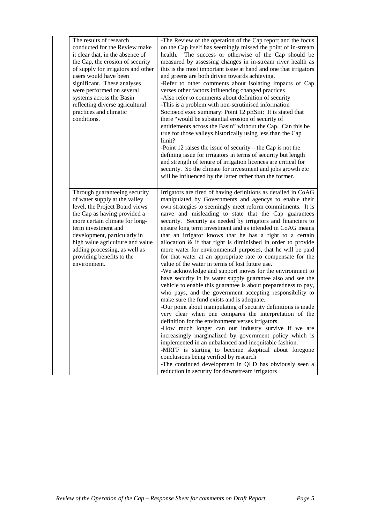| The results of research<br>conducted for the Review make<br>it clear that, in the absence of<br>the Cap, the erosion of security<br>of supply for irrigators and other<br>users would have been<br>significant. These analyses<br>were performed on several<br>systems across the Basin<br>reflecting diverse agricultural<br>practices and climatic<br>conditions. | -The Review of the operation of the Cap report and the focus<br>on the Cap itself has seemingly missed the point of in-stream<br>health. The success or otherwise of the Cap should be<br>measured by assessing changes in in-stream river health as<br>this is the most important issue at hand and one that irrigators<br>and greens are both driven towards achieving.<br>-Refer to other comments about isolating impacts of Cap<br>verses other factors influencing changed practices<br>-Also refer to comments about definition of security<br>-This is a problem with non-scrutinised information<br>Socioeco exec summary: Point 12 pESiii: It is stated that<br>there "would be substantial erosion of security of<br>entitlements across the Basin" without the Cap. Can this be<br>true for those valleys historically using less than the Cap<br>limit?<br>-Point 12 raises the issue of security – the Cap is not the<br>defining issue for irrigators in terms of security but length<br>and strength of tenure of irrigation licences are critical for<br>security. So the climate for investment and jobs growth etc<br>will be influenced by the latter rather than the former.                                                                                                                                                                                                                                                                                                                                                                              |
|---------------------------------------------------------------------------------------------------------------------------------------------------------------------------------------------------------------------------------------------------------------------------------------------------------------------------------------------------------------------|--------------------------------------------------------------------------------------------------------------------------------------------------------------------------------------------------------------------------------------------------------------------------------------------------------------------------------------------------------------------------------------------------------------------------------------------------------------------------------------------------------------------------------------------------------------------------------------------------------------------------------------------------------------------------------------------------------------------------------------------------------------------------------------------------------------------------------------------------------------------------------------------------------------------------------------------------------------------------------------------------------------------------------------------------------------------------------------------------------------------------------------------------------------------------------------------------------------------------------------------------------------------------------------------------------------------------------------------------------------------------------------------------------------------------------------------------------------------------------------------------------------------------------------------------------------------------------|
| Through guaranteeing security<br>of water supply at the valley<br>level, the Project Board views<br>the Cap as having provided a<br>more certain climate for long-<br>term investment and<br>development, particularly in<br>high value agriculture and value<br>adding processing, as well as<br>providing benefits to the<br>environment.                         | Irrigators are tired of having definitions as detailed in CoAG<br>manipulated by Governments and agencys to enable their<br>own strategies to seemingly meet reform commitments. It is<br>naïve and misleading to state that the Cap guarantees<br>security. Security as needed by irrigators and financiers to<br>ensure long term investment and as intended in CoAG means<br>that an irrigator knows that he has a right to a certain<br>allocation $\&$ if that right is diminished in order to provide<br>more water for environmental purposes, that he will be paid<br>for that water at an appropriate rate to compensate for the<br>value of the water in terms of lost future use.<br>-We acknowledge and support moves for the environment to<br>have security in its water supply guarantee also and see the<br>vehicle to enable this guarantee is about preparedness to pay,<br>who pays, and the government accepting responsibility to<br>make sure the fund exists and is adequate.<br>-Our point about manipulating of security definitions is made<br>very clear when one compares the interpretation of the<br>definition for the environment verses irrigators.<br>-How much longer can our industry survive if we are<br>increasingly marginalized by government policy which is<br>implemented in an unbalanced and inequitable fashion.<br>-MRFF is starting to become skeptical about foregone<br>conclusions being verified by research<br>-The continued development in QLD has obviously seen a<br>reduction in security for downstream irrigators |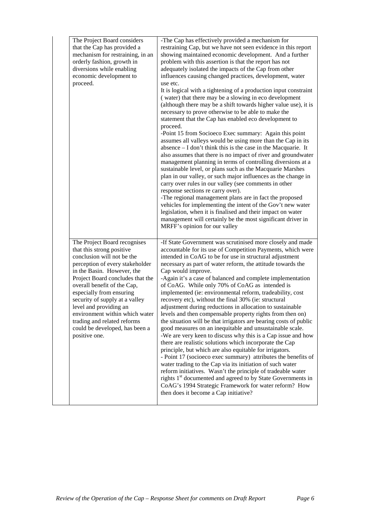| The Project Board considers<br>that the Cap has provided a<br>mechanism for restraining, in an<br>orderly fashion, growth in<br>diversions while enabling<br>economic development to<br>proceed.                                                                                                                                                                                                                                        | -The Cap has effectively provided a mechanism for<br>restraining Cap, but we have not seen evidence in this report<br>showing maintained economic development. And a further<br>problem with this assertion is that the report has not<br>adequately isolated the impacts of the Cap from other<br>influences causing changed practices, development, water<br>use etc.<br>It is logical with a tightening of a production input constraint<br>(water) that there may be a slowing in eco development<br>(although there may be a shift towards higher value use), it is<br>necessary to prove otherwise to be able to make the<br>statement that the Cap has enabled eco development to<br>proceed.<br>-Point 15 from Socioeco Exec summary: Again this point<br>assumes all valleys would be using more than the Cap in its<br>absence $-$ I don't think this is the case in the Macquarie. It<br>also assumes that there is no impact of river and groundwater<br>management planning in terms of controlling diversions at a<br>sustainable level, or plans such as the Macquarie Marshes<br>plan in our valley, or such major influences as the change in<br>carry over rules in our valley (see comments in other<br>response sections re carry over).<br>-The regional management plans are in fact the proposed<br>vehicles for implementing the intent of the Gov't new water<br>legislation, when it is finalised and their impact on water<br>management will certainly be the most significant driver in<br>MRFF's opinion for our valley |
|-----------------------------------------------------------------------------------------------------------------------------------------------------------------------------------------------------------------------------------------------------------------------------------------------------------------------------------------------------------------------------------------------------------------------------------------|-------------------------------------------------------------------------------------------------------------------------------------------------------------------------------------------------------------------------------------------------------------------------------------------------------------------------------------------------------------------------------------------------------------------------------------------------------------------------------------------------------------------------------------------------------------------------------------------------------------------------------------------------------------------------------------------------------------------------------------------------------------------------------------------------------------------------------------------------------------------------------------------------------------------------------------------------------------------------------------------------------------------------------------------------------------------------------------------------------------------------------------------------------------------------------------------------------------------------------------------------------------------------------------------------------------------------------------------------------------------------------------------------------------------------------------------------------------------------------------------------------------------------------------------------------|
| The Project Board recognises<br>that this strong positive<br>conclusion will not be the<br>perception of every stakeholder<br>in the Basin. However, the<br>Project Board concludes that the<br>overall benefit of the Cap,<br>especially from ensuring<br>security of supply at a valley<br>level and providing an<br>environment within which water<br>trading and related reforms<br>could be developed, has been a<br>positive one. | -If State Government was scrutinised more closely and made<br>accountable for its use of Competition Payments, which were<br>intended in CoAG to be for use in structural adjustment<br>necessary as part of water reform, the attitude towards the<br>Cap would improve.<br>-Again it's a case of balanced and complete implementation<br>of CoAG. While only 70% of CoAG as intended is<br>implemented (ie: environmental reform, tradeability, cost<br>recovery etc), without the final 30% (ie: structural<br>adjustment during reductions in allocation to sustainable<br>levels and then compensable property rights from then on)<br>the situation will be that irrigators are bearing costs of public<br>good measures on an inequitable and unsustainable scale.<br>-We are very keen to discuss why this is a Cap issue and how<br>there are realistic solutions which incorporate the Cap<br>principle, but which are also equitable for irrigators.<br>- Point 17 (socioeco exec summary) attributes the benefits of<br>water trading to the Cap via its initiation of such water<br>reform initiatives. Wasn't the principle of tradeable water<br>rights 1 <sup>st</sup> documented and agreed to by State Governments in<br>CoAG's 1994 Strategic Framework for water reform? How<br>then does it become a Cap initiative?                                                                                                                                                                                                             |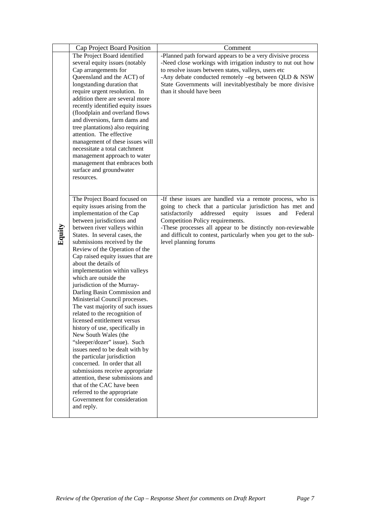|        | Cap Project Board Position                                     | Comment                                                           |
|--------|----------------------------------------------------------------|-------------------------------------------------------------------|
|        | The Project Board identified                                   | -Planned path forward appears to be a very divisive process       |
|        | several equity issues (notably                                 | -Need close workings with irrigation industry to nut out how      |
|        | Cap arrangements for                                           | to resolve issues between states, valleys, users etc              |
|        | Queensland and the ACT) of                                     | -Any debate conducted remotely -eg between QLD & NSW              |
|        | longstanding duration that                                     | State Governments will inevitably estibaly be more divisive       |
|        | require urgent resolution. In                                  | than it should have been                                          |
|        | addition there are several more                                |                                                                   |
|        | recently identified equity issues                              |                                                                   |
|        | (floodplain and overland flows                                 |                                                                   |
|        | and diversions, farm dams and                                  |                                                                   |
|        | tree plantations) also requiring                               |                                                                   |
|        | attention. The effective                                       |                                                                   |
|        | management of these issues will                                |                                                                   |
|        | necessitate a total catchment                                  |                                                                   |
|        | management approach to water                                   |                                                                   |
|        | management that embraces both                                  |                                                                   |
|        | surface and groundwater                                        |                                                                   |
|        | resources.                                                     |                                                                   |
|        |                                                                |                                                                   |
|        | The Project Board focused on                                   | -If these issues are handled via a remote process, who is         |
|        | equity issues arising from the                                 | going to check that a particular jurisdiction has met and         |
|        | implementation of the Cap                                      | satisfactorily<br>addressed<br>equity<br>issues<br>and<br>Federal |
|        | between jurisdictions and                                      | Competition Policy requirements.                                  |
|        | between river valleys within                                   | -These processes all appear to be distinctly non-reviewable       |
|        | States. In several cases, the                                  | and difficult to contest, particularly when you get to the sub-   |
| Equity | submissions received by the                                    | level planning forums                                             |
|        | Review of the Operation of the                                 |                                                                   |
|        | Cap raised equity issues that are                              |                                                                   |
|        | about the details of                                           |                                                                   |
|        | implementation within valleys                                  |                                                                   |
|        | which are outside the                                          |                                                                   |
|        | jurisdiction of the Murray-                                    |                                                                   |
|        | Darling Basin Commission and                                   |                                                                   |
|        | Ministerial Council processes.                                 |                                                                   |
|        | The vast majority of such issues                               |                                                                   |
|        | related to the recognition of                                  |                                                                   |
|        | licensed entitlement versus<br>history of use, specifically in |                                                                   |
|        | New South Wales (the                                           |                                                                   |
|        | "sleeper/dozer" issue). Such                                   |                                                                   |
|        | issues need to be dealt with by                                |                                                                   |
|        | the particular jurisdiction                                    |                                                                   |
|        | concerned. In order that all                                   |                                                                   |
|        | submissions receive appropriate                                |                                                                   |
|        | attention, these submissions and                               |                                                                   |
|        | that of the CAC have been                                      |                                                                   |
|        | referred to the appropriate                                    |                                                                   |
|        | Government for consideration                                   |                                                                   |
|        | and reply.                                                     |                                                                   |
|        |                                                                |                                                                   |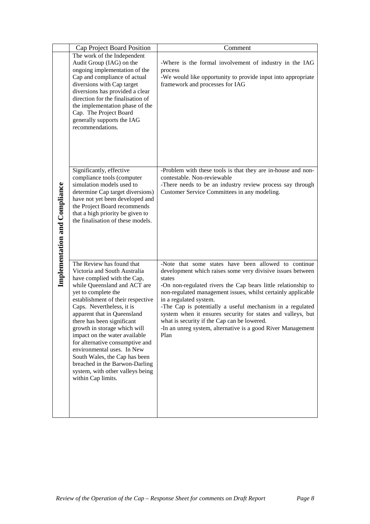|                               | Cap Project Board Position                                                                                                                                                                                                                                                                                                                                                                                                                                                                                                                    | Comment                                                                                                                                                                                                                                                                                                                                                                                                                                                                                                                                   |
|-------------------------------|-----------------------------------------------------------------------------------------------------------------------------------------------------------------------------------------------------------------------------------------------------------------------------------------------------------------------------------------------------------------------------------------------------------------------------------------------------------------------------------------------------------------------------------------------|-------------------------------------------------------------------------------------------------------------------------------------------------------------------------------------------------------------------------------------------------------------------------------------------------------------------------------------------------------------------------------------------------------------------------------------------------------------------------------------------------------------------------------------------|
| Implementation and Compliance | The work of the Independent<br>Audit Group (IAG) on the<br>ongoing implementation of the<br>Cap and compliance of actual<br>diversions with Cap target<br>diversions has provided a clear<br>direction for the finalisation of<br>the implementation phase of the<br>Cap. The Project Board<br>generally supports the IAG<br>recommendations.                                                                                                                                                                                                 | -Where is the formal involvement of industry in the IAG<br>process<br>-We would like opportunity to provide input into appropriate<br>framework and processes for IAG                                                                                                                                                                                                                                                                                                                                                                     |
|                               | Significantly, effective<br>compliance tools (computer<br>simulation models used to<br>determine Cap target diversions)<br>have not yet been developed and<br>the Project Board recommends<br>that a high priority be given to<br>the finalisation of these models.                                                                                                                                                                                                                                                                           | -Problem with these tools is that they are in-house and non-<br>contestable. Non-reviewable<br>-There needs to be an industry review process say through<br>Customer Service Committees in any modeling.                                                                                                                                                                                                                                                                                                                                  |
|                               | The Review has found that<br>Victoria and South Australia<br>have complied with the Cap,<br>while Queensland and ACT are<br>yet to complete the<br>establishment of their respective<br>Caps. Nevertheless, it is<br>apparent that in Queensland<br>there has been significant<br>growth in storage which will<br>impact on the water available<br>for alternative consumptive and<br>environmental uses. In New<br>South Wales, the Cap has been<br>breached in the Barwon-Darling<br>system, with other valleys being<br>within Cap limits. | -Note that some states have been allowed to continue<br>development which raises some very divisive issues between<br>states<br>-On non-regulated rivers the Cap bears little relationship to<br>non-regulated management issues, whilst certainly applicable<br>in a regulated system.<br>-The Cap is potentially a useful mechanism in a regulated<br>system when it ensures security for states and valleys, but<br>what is security if the Cap can be lowered.<br>-In an unreg system, alternative is a good River Management<br>Plan |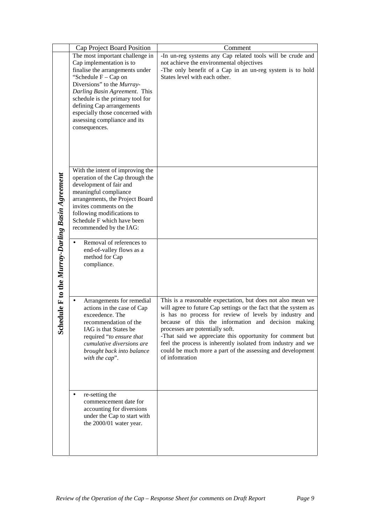|                                               | Cap Project Board Position                               | Comment                                                                                                                         |
|-----------------------------------------------|----------------------------------------------------------|---------------------------------------------------------------------------------------------------------------------------------|
|                                               | The most important challenge in                          | -In un-reg systems any Cap related tools will be crude and                                                                      |
|                                               | Cap implementation is to                                 | not achieve the environmental objectives                                                                                        |
|                                               | finalise the arrangements under                          | -The only benefit of a Cap in an un-reg system is to hold                                                                       |
|                                               | "Schedule $F - Cap$ on<br>Diversions" to the Murray-     | States level with each other.                                                                                                   |
|                                               | Darling Basin Agreement. This                            |                                                                                                                                 |
|                                               | schedule is the primary tool for                         |                                                                                                                                 |
|                                               | defining Cap arrangements                                |                                                                                                                                 |
|                                               | especially those concerned with                          |                                                                                                                                 |
|                                               | assessing compliance and its                             |                                                                                                                                 |
|                                               | consequences.                                            |                                                                                                                                 |
|                                               |                                                          |                                                                                                                                 |
|                                               |                                                          |                                                                                                                                 |
|                                               |                                                          |                                                                                                                                 |
|                                               |                                                          |                                                                                                                                 |
|                                               | With the intent of improving the                         |                                                                                                                                 |
|                                               | operation of the Cap through the                         |                                                                                                                                 |
|                                               | development of fair and                                  |                                                                                                                                 |
|                                               | meaningful compliance                                    |                                                                                                                                 |
|                                               | arrangements, the Project Board                          |                                                                                                                                 |
|                                               | invites comments on the                                  |                                                                                                                                 |
|                                               | following modifications to<br>Schedule F which have been |                                                                                                                                 |
|                                               | recommended by the IAG:                                  |                                                                                                                                 |
|                                               |                                                          |                                                                                                                                 |
|                                               | Removal of references to<br>$\bullet$                    |                                                                                                                                 |
|                                               | end-of-valley flows as a                                 |                                                                                                                                 |
|                                               | method for Cap                                           |                                                                                                                                 |
|                                               | compliance.                                              |                                                                                                                                 |
|                                               |                                                          |                                                                                                                                 |
| edule F to the Murray-Darling Basin Agreement |                                                          |                                                                                                                                 |
|                                               |                                                          |                                                                                                                                 |
|                                               | Arrangements for remedial                                | This is a reasonable expectation, but does not also mean we<br>will agree to future Cap settings or the fact that the system as |
|                                               | actions in the case of Cap<br>exceedence. The            | is has no process for review of levels by industry and                                                                          |
|                                               | recommendation of the                                    | because of this the information and decision making                                                                             |
| Sch                                           | IAG is that States be                                    | processes are potentially soft.                                                                                                 |
|                                               | required "to ensure that                                 | -That said we appreciate this opportunity for comment but                                                                       |
|                                               | cumulative diversions are                                | feel the process is inherently isolated from industry and we                                                                    |
|                                               | brought back into balance                                | could be much more a part of the assessing and development                                                                      |
|                                               | with the cap".                                           | of infomration                                                                                                                  |
|                                               |                                                          |                                                                                                                                 |
|                                               |                                                          |                                                                                                                                 |
|                                               |                                                          |                                                                                                                                 |
|                                               | re-setting the                                           |                                                                                                                                 |
|                                               | commencement date for                                    |                                                                                                                                 |
|                                               | accounting for diversions                                |                                                                                                                                 |
|                                               | under the Cap to start with                              |                                                                                                                                 |
|                                               | the 2000/01 water year.                                  |                                                                                                                                 |
|                                               |                                                          |                                                                                                                                 |
|                                               |                                                          |                                                                                                                                 |
|                                               |                                                          |                                                                                                                                 |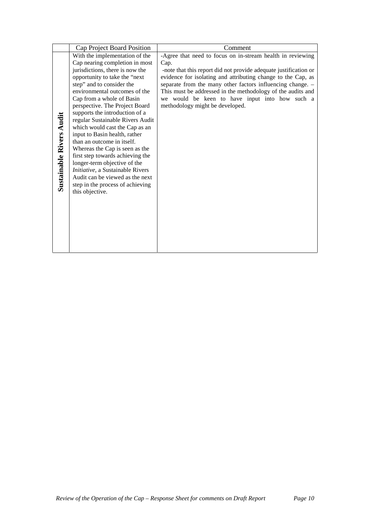|                                 | Cap Project Board Position                                                                                                                                                                                                                                                                                                                                                                                                                                                                                                                                                                               | Comment                                                                                                                                                                                                                                                                                                                                            |
|---------------------------------|----------------------------------------------------------------------------------------------------------------------------------------------------------------------------------------------------------------------------------------------------------------------------------------------------------------------------------------------------------------------------------------------------------------------------------------------------------------------------------------------------------------------------------------------------------------------------------------------------------|----------------------------------------------------------------------------------------------------------------------------------------------------------------------------------------------------------------------------------------------------------------------------------------------------------------------------------------------------|
|                                 | With the implementation of the                                                                                                                                                                                                                                                                                                                                                                                                                                                                                                                                                                           | -Agree that need to focus on in-stream health in reviewing                                                                                                                                                                                                                                                                                         |
|                                 | Cap nearing completion in most                                                                                                                                                                                                                                                                                                                                                                                                                                                                                                                                                                           | Cap.                                                                                                                                                                                                                                                                                                                                               |
| <b>Sustainable Rivers Audit</b> | jurisdictions, there is now the<br>opportunity to take the "next<br>step" and to consider the<br>environmental outcomes of the<br>Cap from a whole of Basin<br>perspective. The Project Board<br>supports the introduction of a<br>regular Sustainable Rivers Audit<br>which would cast the Cap as an<br>input to Basin health, rather<br>than an outcome in itself.<br>Whereas the Cap is seen as the<br>first step towards achieving the<br>longer-term objective of the<br>Initiative, a Sustainable Rivers<br>Audit can be viewed as the next<br>step in the process of achieving<br>this objective. | -note that this report did not provide adequate justification or<br>evidence for isolating and attributing change to the Cap, as<br>separate from the many other factors influencing change. -<br>This must be addressed in the methodology of the audits and<br>we would be keen to have input into how such a<br>methodology might be developed. |